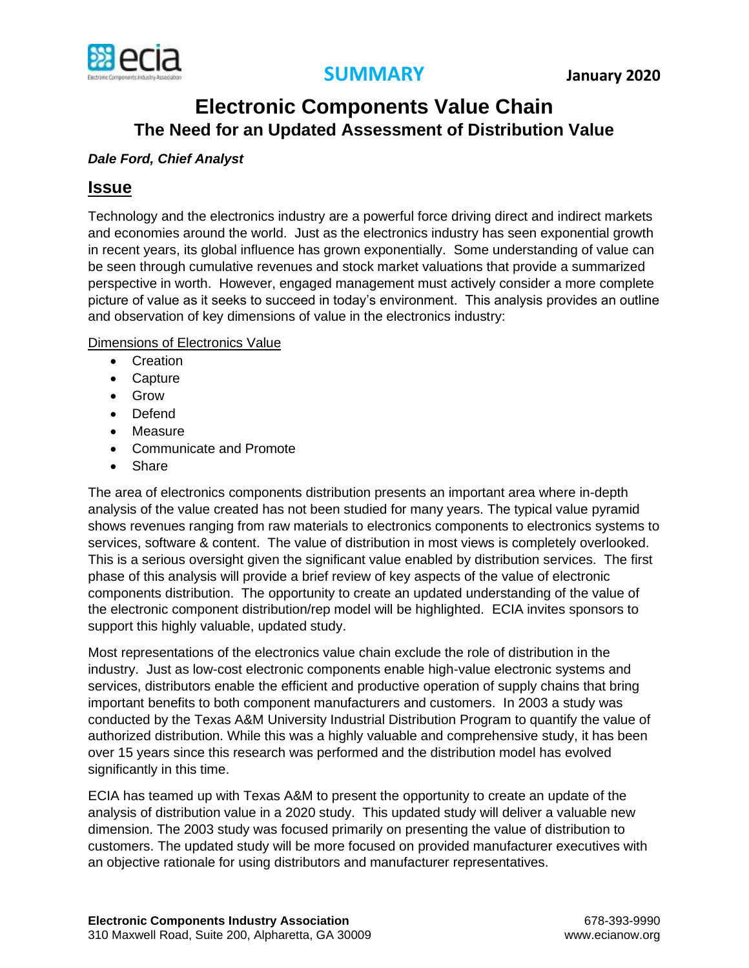

## **Electronic Components Value Chain The Need for an Updated Assessment of Distribution Value**

## *Dale Ford, Chief Analyst*

## **Issue**

Technology and the electronics industry are a powerful force driving direct and indirect markets and economies around the world. Just as the electronics industry has seen exponential growth in recent years, its global influence has grown exponentially. Some understanding of value can be seen through cumulative revenues and stock market valuations that provide a summarized perspective in worth. However, engaged management must actively consider a more complete picture of value as it seeks to succeed in today's environment. This analysis provides an outline and observation of key dimensions of value in the electronics industry:

Dimensions of Electronics Value

- Creation
- Capture
- Grow
- Defend
- Measure
- Communicate and Promote
- Share

The area of electronics components distribution presents an important area where in-depth analysis of the value created has not been studied for many years. The typical value pyramid shows revenues ranging from raw materials to electronics components to electronics systems to services, software & content. The value of distribution in most views is completely overlooked. This is a serious oversight given the significant value enabled by distribution services. The first phase of this analysis will provide a brief review of key aspects of the value of electronic components distribution. The opportunity to create an updated understanding of the value of the electronic component distribution/rep model will be highlighted. ECIA invites sponsors to support this highly valuable, updated study.

Most representations of the electronics value chain exclude the role of distribution in the industry. Just as low-cost electronic components enable high-value electronic systems and services, distributors enable the efficient and productive operation of supply chains that bring important benefits to both component manufacturers and customers. In 2003 a study was conducted by the Texas A&M University Industrial Distribution Program to quantify the value of authorized distribution. While this was a highly valuable and comprehensive study, it has been over 15 years since this research was performed and the distribution model has evolved significantly in this time.

ECIA has teamed up with Texas A&M to present the opportunity to create an update of the analysis of distribution value in a 2020 study. This updated study will deliver a valuable new dimension. The 2003 study was focused primarily on presenting the value of distribution to customers. The updated study will be more focused on provided manufacturer executives with an objective rationale for using distributors and manufacturer representatives.